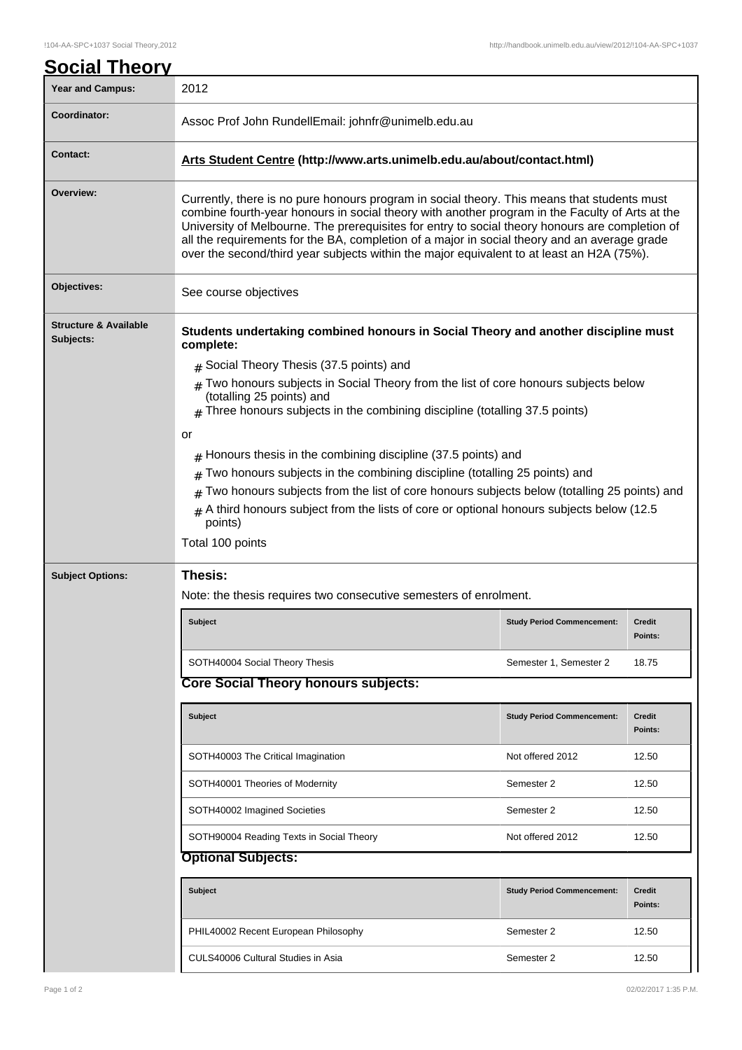| <b>Year and Campus:</b>                       | 2012                                                                                                                                                                                                                                                                                                                                                                                                                                                                                           |                                   |                          |  |  |
|-----------------------------------------------|------------------------------------------------------------------------------------------------------------------------------------------------------------------------------------------------------------------------------------------------------------------------------------------------------------------------------------------------------------------------------------------------------------------------------------------------------------------------------------------------|-----------------------------------|--------------------------|--|--|
| Coordinator:                                  | Assoc Prof John RundellEmail: johnfr@unimelb.edu.au                                                                                                                                                                                                                                                                                                                                                                                                                                            |                                   |                          |  |  |
| <b>Contact:</b>                               | Arts Student Centre (http://www.arts.unimelb.edu.au/about/contact.html)                                                                                                                                                                                                                                                                                                                                                                                                                        |                                   |                          |  |  |
| Overview:                                     | Currently, there is no pure honours program in social theory. This means that students must<br>combine fourth-year honours in social theory with another program in the Faculty of Arts at the<br>University of Melbourne. The prerequisites for entry to social theory honours are completion of<br>all the requirements for the BA, completion of a major in social theory and an average grade<br>over the second/third year subjects within the major equivalent to at least an H2A (75%). |                                   |                          |  |  |
| Objectives:                                   | See course objectives                                                                                                                                                                                                                                                                                                                                                                                                                                                                          |                                   |                          |  |  |
| <b>Structure &amp; Available</b><br>Subjects: | Students undertaking combined honours in Social Theory and another discipline must<br>complete:                                                                                                                                                                                                                                                                                                                                                                                                |                                   |                          |  |  |
|                                               | $#$ Social Theory Thesis (37.5 points) and<br>Two honours subjects in Social Theory from the list of core honours subjects below<br>#<br>(totalling 25 points) and<br>Three honours subjects in the combining discipline (totalling 37.5 points)<br>#                                                                                                                                                                                                                                          |                                   |                          |  |  |
|                                               | or<br>$#$ Honours thesis in the combining discipline (37.5 points) and<br>Two honours subjects in the combining discipline (totalling 25 points) and<br>#<br>Two honours subjects from the list of core honours subjects below (totalling 25 points) and<br>#<br>A third honours subject from the lists of core or optional honours subjects below (12.5<br>#<br>points)<br>Total 100 points                                                                                                   |                                   |                          |  |  |
| Thesis:<br><b>Subject Options:</b>            |                                                                                                                                                                                                                                                                                                                                                                                                                                                                                                |                                   |                          |  |  |
|                                               | Note: the thesis requires two consecutive semesters of enrolment.                                                                                                                                                                                                                                                                                                                                                                                                                              |                                   |                          |  |  |
|                                               | <b>Subject</b>                                                                                                                                                                                                                                                                                                                                                                                                                                                                                 | <b>Study Period Commencement:</b> | <b>Credit</b><br>Points: |  |  |
|                                               | SOTH40004 Social Theory Thesis                                                                                                                                                                                                                                                                                                                                                                                                                                                                 | Semester 1, Semester 2            | 18.75                    |  |  |
|                                               | <b>Core Social Theory honours subjects:</b>                                                                                                                                                                                                                                                                                                                                                                                                                                                    |                                   |                          |  |  |
|                                               | Subject                                                                                                                                                                                                                                                                                                                                                                                                                                                                                        | <b>Study Period Commencement:</b> | Credit<br>Points:        |  |  |
|                                               | SOTH40003 The Critical Imagination                                                                                                                                                                                                                                                                                                                                                                                                                                                             | Not offered 2012                  | 12.50                    |  |  |
|                                               | SOTH40001 Theories of Modernity                                                                                                                                                                                                                                                                                                                                                                                                                                                                | Semester 2                        | 12.50                    |  |  |
|                                               | SOTH40002 Imagined Societies                                                                                                                                                                                                                                                                                                                                                                                                                                                                   | Semester 2                        | 12.50                    |  |  |
|                                               | SOTH90004 Reading Texts in Social Theory                                                                                                                                                                                                                                                                                                                                                                                                                                                       | Not offered 2012                  | 12.50                    |  |  |
|                                               | <b>Optional Subjects:</b>                                                                                                                                                                                                                                                                                                                                                                                                                                                                      |                                   |                          |  |  |
|                                               | Subject                                                                                                                                                                                                                                                                                                                                                                                                                                                                                        | <b>Study Period Commencement:</b> | <b>Credit</b><br>Points: |  |  |
|                                               | PHIL40002 Recent European Philosophy                                                                                                                                                                                                                                                                                                                                                                                                                                                           | Semester 2                        | 12.50                    |  |  |
|                                               | CULS40006 Cultural Studies in Asia                                                                                                                                                                                                                                                                                                                                                                                                                                                             | Semester 2                        | 12.50                    |  |  |
|                                               |                                                                                                                                                                                                                                                                                                                                                                                                                                                                                                |                                   |                          |  |  |